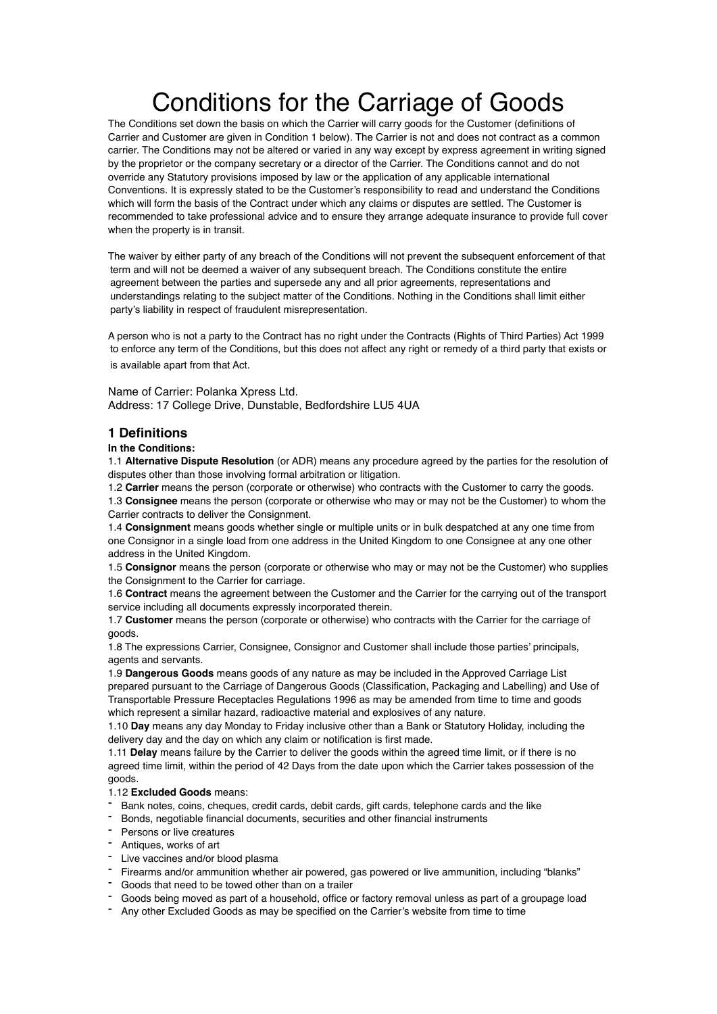# Conditions for the Carriage of Goods

The Conditions set down the basis on which the Carrier will carry goods for the Customer (definitions of Carrier and Customer are given in Condition 1 below). The Carrier is not and does not contract as a common carrier. The Conditions may not be altered or varied in any way except by express agreement in writing signed by the proprietor or the company secretary or a director of the Carrier. The Conditions cannot and do not override any Statutory provisions imposed by law or the application of any applicable international Conventions. It is expressly stated to be the Customer's responsibility to read and understand the Conditions which will form the basis of the Contract under which any claims or disputes are settled. The Customer is recommended to take professional advice and to ensure they arrange adequate insurance to provide full cover when the property is in transit.

The waiver by either party of any breach of the Conditions will not prevent the subsequent enforcement of that term and will not be deemed a waiver of any subsequent breach. The Conditions constitute the entire agreement between the parties and supersede any and all prior agreements, representations and understandings relating to the subject matter of the Conditions. Nothing in the Conditions shall limit either party's liability in respect of fraudulent misrepresentation.

A person who is not a party to the Contract has no right under the Contracts (Rights of Third Parties) Act 1999 to enforce any term of the Conditions, but this does not affect any right or remedy of a third party that exists or is available apart from that Act.

Name of Carrier: Polanka Xpress Ltd. Address: 17 College Drive, Dunstable, Bedfordshire LU5 4UA

# **1 Definitions**

## **In the Conditions:**

1.1 **Alternative Dispute Resolution** (or ADR) means any procedure agreed by the parties for the resolution of disputes other than those involving formal arbitration or litigation.

1.2 **Carrier** means the person (corporate or otherwise) who contracts with the Customer to carry the goods.

1.3 **Consignee** means the person (corporate or otherwise who may or may not be the Customer) to whom the Carrier contracts to deliver the Consignment.

1.4 **Consignment** means goods whether single or multiple units or in bulk despatched at any one time from one Consignor in a single load from one address in the United Kingdom to one Consignee at any one other address in the United Kingdom.

1.5 **Consignor** means the person (corporate or otherwise who may or may not be the Customer) who supplies the Consignment to the Carrier for carriage.

1.6 **Contract** means the agreement between the Customer and the Carrier for the carrying out of the transport service including all documents expressly incorporated therein.

1.7 **Customer** means the person (corporate or otherwise) who contracts with the Carrier for the carriage of goods.

1.8 The expressions Carrier, Consignee, Consignor and Customer shall include those parties' principals, agents and servants.

1.9 **Dangerous Goods** means goods of any nature as may be included in the Approved Carriage List prepared pursuant to the Carriage of Dangerous Goods (Classification, Packaging and Labelling) and Use of Transportable Pressure Receptacles Regulations 1996 as may be amended from time to time and goods which represent a similar hazard, radioactive material and explosives of any nature.

1.10 **Day** means any day Monday to Friday inclusive other than a Bank or Statutory Holiday, including the delivery day and the day on which any claim or notification is first made.

1.11 **Delay** means failure by the Carrier to deliver the goods within the agreed time limit, or if there is no agreed time limit, within the period of 42 Days from the date upon which the Carrier takes possession of the goods.

#### 1.12 **Excluded Goods** means:

- Bank notes, coins, cheques, credit cards, debit cards, gift cards, telephone cards and the like
- Bonds, negotiable financial documents, securities and other financial instruments
- Persons or live creatures
- Antiques, works of art
- Live vaccines and/or blood plasma
- Firearms and/or ammunition whether air powered, gas powered or live ammunition, including "blanks"
- Goods that need to be towed other than on a trailer
- Goods being moved as part of a household, office or factory removal unless as part of a groupage load
- Any other Excluded Goods as may be specified on the Carrier's website from time to time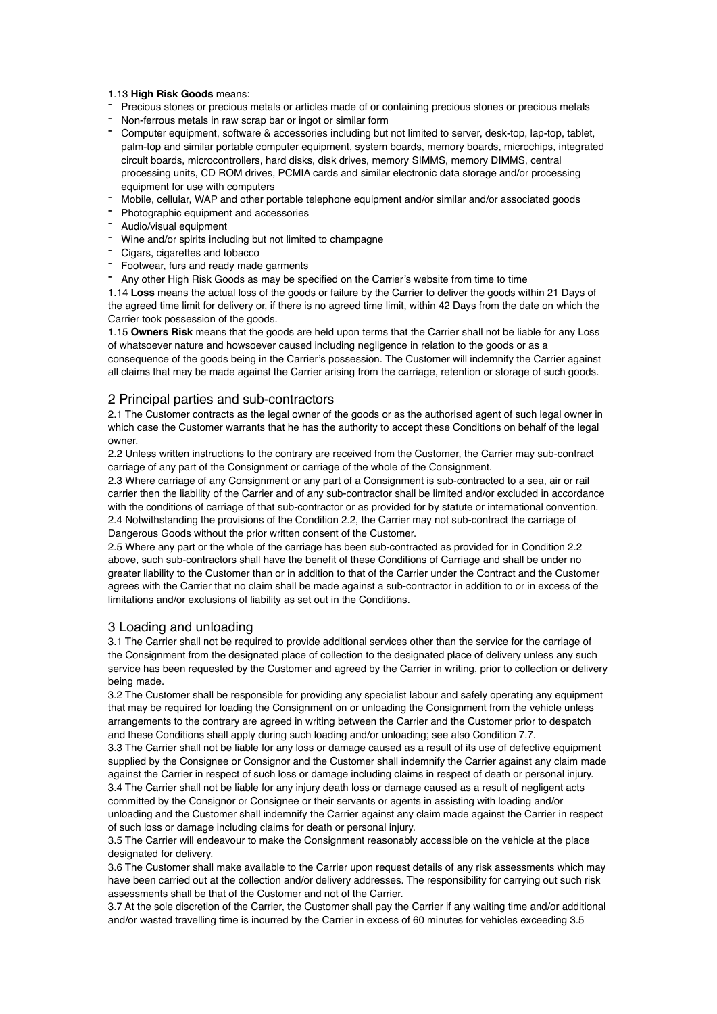#### 1.13 **High Risk Goods** means:

- Precious stones or precious metals or articles made of or containing precious stones or precious metals
- Non-ferrous metals in raw scrap bar or ingot or similar form
- Computer equipment, software & accessories including but not limited to server, desk-top, lap-top, tablet, palm-top and similar portable computer equipment, system boards, memory boards, microchips, integrated circuit boards, microcontrollers, hard disks, disk drives, memory SIMMS, memory DIMMS, central processing units, CD ROM drives, PCMIA cards and similar electronic data storage and/or processing equipment for use with computers
- Mobile, cellular, WAP and other portable telephone equipment and/or similar and/or associated goods
- Photographic equipment and accessories
- Audio/visual equipment
- Wine and/or spirits including but not limited to champagne
- Cigars, cigarettes and tobacco
- Footwear, furs and ready made garments
- Any other High Risk Goods as may be specified on the Carrier's website from time to time

1.14 **Loss** means the actual loss of the goods or failure by the Carrier to deliver the goods within 21 Days of the agreed time limit for delivery or, if there is no agreed time limit, within 42 Days from the date on which the Carrier took possession of the goods.

1.15 **Owners Risk** means that the goods are held upon terms that the Carrier shall not be liable for any Loss of whatsoever nature and howsoever caused including negligence in relation to the goods or as a consequence of the goods being in the Carrier's possession. The Customer will indemnify the Carrier against

all claims that may be made against the Carrier arising from the carriage, retention or storage of such goods.

# 2 Principal parties and sub-contractors

2.1 The Customer contracts as the legal owner of the goods or as the authorised agent of such legal owner in which case the Customer warrants that he has the authority to accept these Conditions on behalf of the legal owner.

2.2 Unless written instructions to the contrary are received from the Customer, the Carrier may sub-contract carriage of any part of the Consignment or carriage of the whole of the Consignment.

2.3 Where carriage of any Consignment or any part of a Consignment is sub-contracted to a sea, air or rail carrier then the liability of the Carrier and of any sub-contractor shall be limited and/or excluded in accordance with the conditions of carriage of that sub-contractor or as provided for by statute or international convention. 2.4 Notwithstanding the provisions of the Condition 2.2, the Carrier may not sub-contract the carriage of Dangerous Goods without the prior written consent of the Customer.

2.5 Where any part or the whole of the carriage has been sub-contracted as provided for in Condition 2.2 above, such sub-contractors shall have the benefit of these Conditions of Carriage and shall be under no greater liability to the Customer than or in addition to that of the Carrier under the Contract and the Customer agrees with the Carrier that no claim shall be made against a sub-contractor in addition to or in excess of the limitations and/or exclusions of liability as set out in the Conditions.

# 3 Loading and unloading

3.1 The Carrier shall not be required to provide additional services other than the service for the carriage of the Consignment from the designated place of collection to the designated place of delivery unless any such service has been requested by the Customer and agreed by the Carrier in writing, prior to collection or delivery being made.

3.2 The Customer shall be responsible for providing any specialist labour and safely operating any equipment that may be required for loading the Consignment on or unloading the Consignment from the vehicle unless arrangements to the contrary are agreed in writing between the Carrier and the Customer prior to despatch and these Conditions shall apply during such loading and/or unloading; see also Condition 7.7.

3.3 The Carrier shall not be liable for any loss or damage caused as a result of its use of defective equipment supplied by the Consignee or Consignor and the Customer shall indemnify the Carrier against any claim made against the Carrier in respect of such loss or damage including claims in respect of death or personal injury. 3.4 The Carrier shall not be liable for any injury death loss or damage caused as a result of negligent acts committed by the Consignor or Consignee or their servants or agents in assisting with loading and/or unloading and the Customer shall indemnify the Carrier against any claim made against the Carrier in respect of such loss or damage including claims for death or personal injury.

3.5 The Carrier will endeavour to make the Consignment reasonably accessible on the vehicle at the place designated for delivery.

3.6 The Customer shall make available to the Carrier upon request details of any risk assessments which may have been carried out at the collection and/or delivery addresses. The responsibility for carrying out such risk assessments shall be that of the Customer and not of the Carrier.

3.7 At the sole discretion of the Carrier, the Customer shall pay the Carrier if any waiting time and/or additional and/or wasted travelling time is incurred by the Carrier in excess of 60 minutes for vehicles exceeding 3.5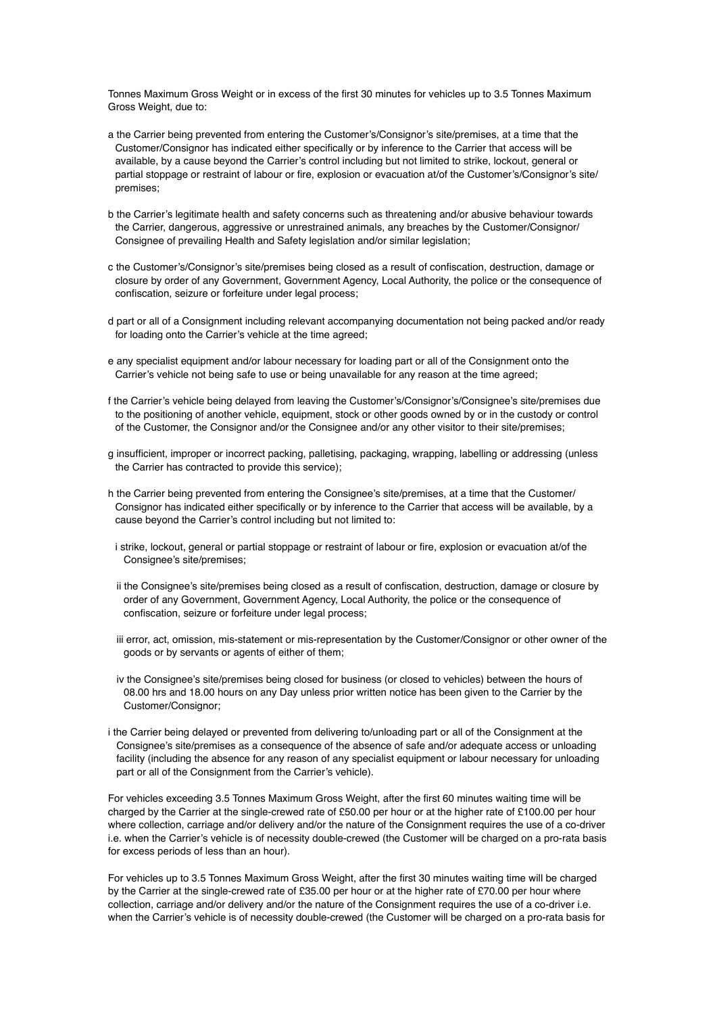Tonnes Maximum Gross Weight or in excess of the first 30 minutes for vehicles up to 3.5 Tonnes Maximum Gross Weight, due to:

- a the Carrier being prevented from entering the Customer's/Consignor's site/premises, at a time that the Customer/Consignor has indicated either specifically or by inference to the Carrier that access will be available, by a cause beyond the Carrier's control including but not limited to strike, lockout, general or partial stoppage or restraint of labour or fire, explosion or evacuation at/of the Customer's/Consignor's site/ premises;
- b the Carrier's legitimate health and safety concerns such as threatening and/or abusive behaviour towards the Carrier, dangerous, aggressive or unrestrained animals, any breaches by the Customer/Consignor/ Consignee of prevailing Health and Safety legislation and/or similar legislation;
- c the Customer's/Consignor's site/premises being closed as a result of confiscation, destruction, damage or closure by order of any Government, Government Agency, Local Authority, the police or the consequence of confiscation, seizure or forfeiture under legal process;
- d part or all of a Consignment including relevant accompanying documentation not being packed and/or ready for loading onto the Carrier's vehicle at the time agreed;
- e any specialist equipment and/or labour necessary for loading part or all of the Consignment onto the Carrier's vehicle not being safe to use or being unavailable for any reason at the time agreed;
- f the Carrier's vehicle being delayed from leaving the Customer's/Consignor's/Consignee's site/premises due to the positioning of another vehicle, equipment, stock or other goods owned by or in the custody or control of the Customer, the Consignor and/or the Consignee and/or any other visitor to their site/premises;
- g insufficient, improper or incorrect packing, palletising, packaging, wrapping, labelling or addressing (unless the Carrier has contracted to provide this service);
- h the Carrier being prevented from entering the Consignee's site/premises, at a time that the Customer/ Consignor has indicated either specifically or by inference to the Carrier that access will be available, by a cause beyond the Carrier's control including but not limited to:
- i strike, lockout, general or partial stoppage or restraint of labour or fire, explosion or evacuation at/of the Consignee's site/premises;
- ii the Consignee's site/premises being closed as a result of confiscation, destruction, damage or closure by order of any Government, Government Agency, Local Authority, the police or the consequence of confiscation, seizure or forfeiture under legal process;
- iii error, act, omission, mis-statement or mis-representation by the Customer/Consignor or other owner of the goods or by servants or agents of either of them;
- iv the Consignee's site/premises being closed for business (or closed to vehicles) between the hours of 08.00 hrs and 18.00 hours on any Day unless prior written notice has been given to the Carrier by the Customer/Consignor;
- i the Carrier being delayed or prevented from delivering to/unloading part or all of the Consignment at the Consignee's site/premises as a consequence of the absence of safe and/or adequate access or unloading facility (including the absence for any reason of any specialist equipment or labour necessary for unloading part or all of the Consignment from the Carrier's vehicle).

For vehicles exceeding 3.5 Tonnes Maximum Gross Weight, after the first 60 minutes waiting time will be charged by the Carrier at the single-crewed rate of £50.00 per hour or at the higher rate of £100.00 per hour where collection, carriage and/or delivery and/or the nature of the Consignment requires the use of a co-driver i.e. when the Carrier's vehicle is of necessity double-crewed (the Customer will be charged on a pro-rata basis for excess periods of less than an hour).

For vehicles up to 3.5 Tonnes Maximum Gross Weight, after the first 30 minutes waiting time will be charged by the Carrier at the single-crewed rate of £35.00 per hour or at the higher rate of £70.00 per hour where collection, carriage and/or delivery and/or the nature of the Consignment requires the use of a co-driver i.e. when the Carrier's vehicle is of necessity double-crewed (the Customer will be charged on a pro-rata basis for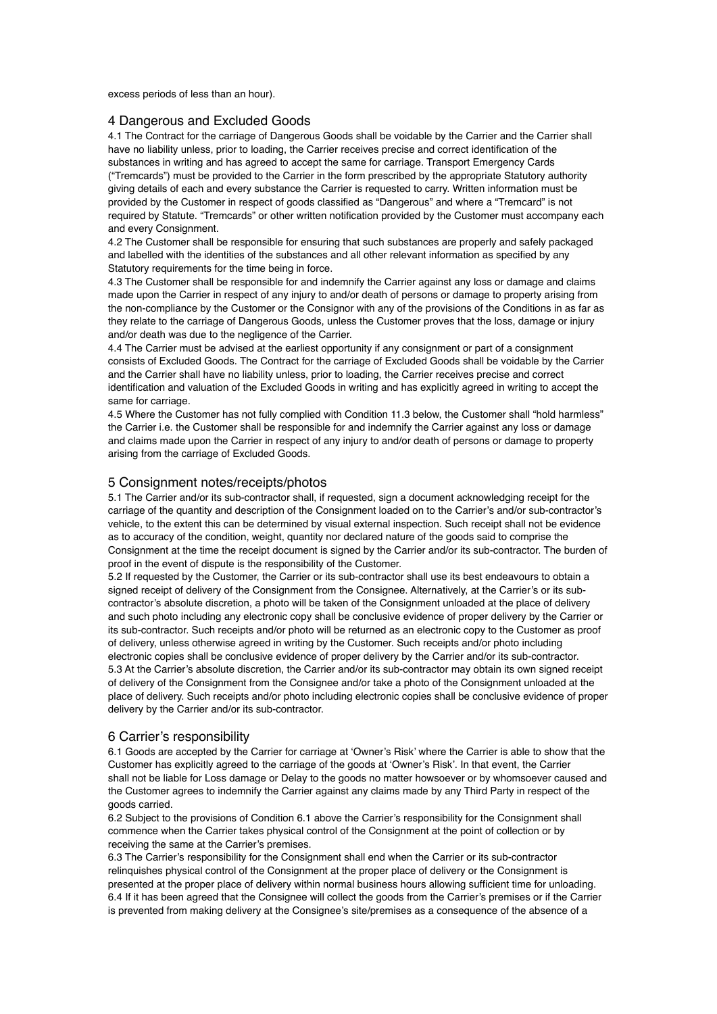excess periods of less than an hour).

#### 4 Dangerous and Excluded Goods

4.1 The Contract for the carriage of Dangerous Goods shall be voidable by the Carrier and the Carrier shall have no liability unless, prior to loading, the Carrier receives precise and correct identification of the substances in writing and has agreed to accept the same for carriage. Transport Emergency Cards ("Tremcards") must be provided to the Carrier in the form prescribed by the appropriate Statutory authority giving details of each and every substance the Carrier is requested to carry. Written information must be provided by the Customer in respect of goods classified as "Dangerous" and where a "Tremcard" is not required by Statute. "Tremcards" or other written notification provided by the Customer must accompany each and every Consignment.

4.2 The Customer shall be responsible for ensuring that such substances are properly and safely packaged and labelled with the identities of the substances and all other relevant information as specified by any Statutory requirements for the time being in force.

4.3 The Customer shall be responsible for and indemnify the Carrier against any loss or damage and claims made upon the Carrier in respect of any injury to and/or death of persons or damage to property arising from the non-compliance by the Customer or the Consignor with any of the provisions of the Conditions in as far as they relate to the carriage of Dangerous Goods, unless the Customer proves that the loss, damage or injury and/or death was due to the negligence of the Carrier.

4.4 The Carrier must be advised at the earliest opportunity if any consignment or part of a consignment consists of Excluded Goods. The Contract for the carriage of Excluded Goods shall be voidable by the Carrier and the Carrier shall have no liability unless, prior to loading, the Carrier receives precise and correct identification and valuation of the Excluded Goods in writing and has explicitly agreed in writing to accept the same for carriage.

4.5 Where the Customer has not fully complied with Condition 11.3 below, the Customer shall "hold harmless" the Carrier i.e. the Customer shall be responsible for and indemnify the Carrier against any loss or damage and claims made upon the Carrier in respect of any injury to and/or death of persons or damage to property arising from the carriage of Excluded Goods.

## 5 Consignment notes/receipts/photos

5.1 The Carrier and/or its sub-contractor shall, if requested, sign a document acknowledging receipt for the carriage of the quantity and description of the Consignment loaded on to the Carrier's and/or sub-contractor's vehicle, to the extent this can be determined by visual external inspection. Such receipt shall not be evidence as to accuracy of the condition, weight, quantity nor declared nature of the goods said to comprise the Consignment at the time the receipt document is signed by the Carrier and/or its sub-contractor. The burden of proof in the event of dispute is the responsibility of the Customer.

5.2 If requested by the Customer, the Carrier or its sub-contractor shall use its best endeavours to obtain a signed receipt of delivery of the Consignment from the Consignee. Alternatively, at the Carrier's or its subcontractor's absolute discretion, a photo will be taken of the Consignment unloaded at the place of delivery and such photo including any electronic copy shall be conclusive evidence of proper delivery by the Carrier or its sub-contractor. Such receipts and/or photo will be returned as an electronic copy to the Customer as proof of delivery, unless otherwise agreed in writing by the Customer. Such receipts and/or photo including electronic copies shall be conclusive evidence of proper delivery by the Carrier and/or its sub-contractor. 5.3 At the Carrier's absolute discretion, the Carrier and/or its sub-contractor may obtain its own signed receipt of delivery of the Consignment from the Consignee and/or take a photo of the Consignment unloaded at the place of delivery. Such receipts and/or photo including electronic copies shall be conclusive evidence of proper delivery by the Carrier and/or its sub-contractor.

## 6 Carrier's responsibility

6.1 Goods are accepted by the Carrier for carriage at 'Owner's Risk' where the Carrier is able to show that the Customer has explicitly agreed to the carriage of the goods at 'Owner's Risk'. In that event, the Carrier shall not be liable for Loss damage or Delay to the goods no matter howsoever or by whomsoever caused and the Customer agrees to indemnify the Carrier against any claims made by any Third Party in respect of the goods carried.

6.2 Subject to the provisions of Condition 6.1 above the Carrier's responsibility for the Consignment shall commence when the Carrier takes physical control of the Consignment at the point of collection or by receiving the same at the Carrier's premises.

6.3 The Carrier's responsibility for the Consignment shall end when the Carrier or its sub-contractor relinquishes physical control of the Consignment at the proper place of delivery or the Consignment is presented at the proper place of delivery within normal business hours allowing sufficient time for unloading. 6.4 If it has been agreed that the Consignee will collect the goods from the Carrier's premises or if the Carrier is prevented from making delivery at the Consignee's site/premises as a consequence of the absence of a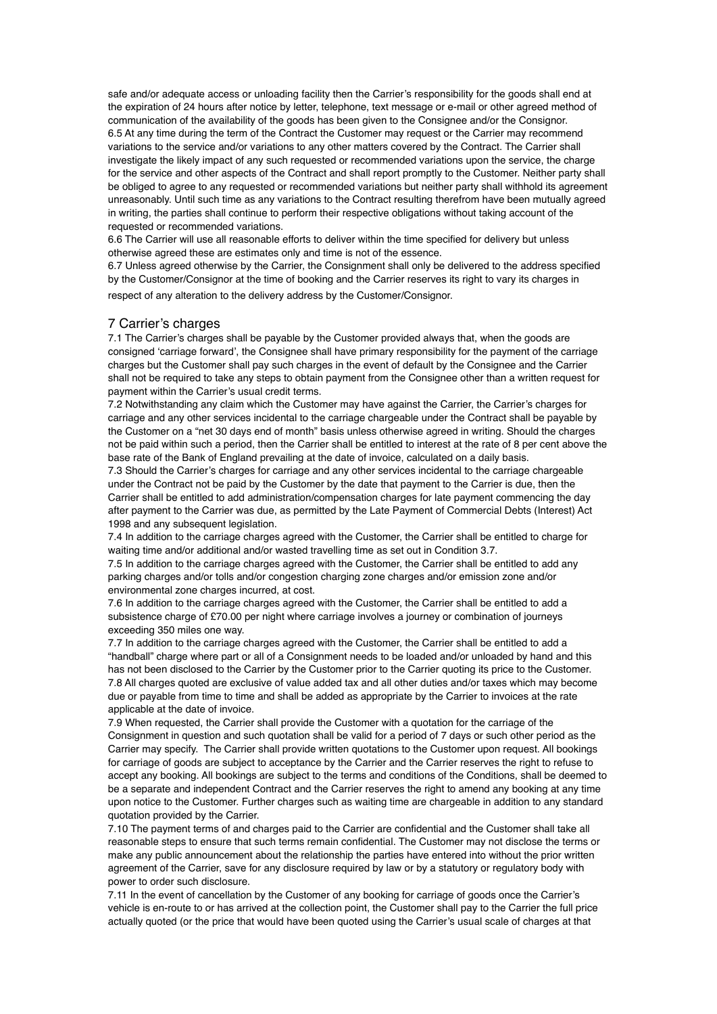safe and/or adequate access or unloading facility then the Carrier's responsibility for the goods shall end at the expiration of 24 hours after notice by letter, telephone, text message or e-mail or other agreed method of communication of the availability of the goods has been given to the Consignee and/or the Consignor. 6.5 At any time during the term of the Contract the Customer may request or the Carrier may recommend variations to the service and/or variations to any other matters covered by the Contract. The Carrier shall investigate the likely impact of any such requested or recommended variations upon the service, the charge for the service and other aspects of the Contract and shall report promptly to the Customer. Neither party shall be obliged to agree to any requested or recommended variations but neither party shall withhold its agreement unreasonably. Until such time as any variations to the Contract resulting therefrom have been mutually agreed in writing, the parties shall continue to perform their respective obligations without taking account of the requested or recommended variations.

6.6 The Carrier will use all reasonable efforts to deliver within the time specified for delivery but unless otherwise agreed these are estimates only and time is not of the essence.

6.7 Unless agreed otherwise by the Carrier, the Consignment shall only be delivered to the address specified by the Customer/Consignor at the time of booking and the Carrier reserves its right to vary its charges in respect of any alteration to the delivery address by the Customer/Consignor.

## 7 Carrier's charges

7.1 The Carrier's charges shall be payable by the Customer provided always that, when the goods are consigned 'carriage forward', the Consignee shall have primary responsibility for the payment of the carriage charges but the Customer shall pay such charges in the event of default by the Consignee and the Carrier shall not be required to take any steps to obtain payment from the Consignee other than a written request for payment within the Carrier's usual credit terms.

7.2 Notwithstanding any claim which the Customer may have against the Carrier, the Carrier's charges for carriage and any other services incidental to the carriage chargeable under the Contract shall be payable by the Customer on a "net 30 days end of month" basis unless otherwise agreed in writing. Should the charges not be paid within such a period, then the Carrier shall be entitled to interest at the rate of 8 per cent above the base rate of the Bank of England prevailing at the date of invoice, calculated on a daily basis.

7.3 Should the Carrier's charges for carriage and any other services incidental to the carriage chargeable under the Contract not be paid by the Customer by the date that payment to the Carrier is due, then the Carrier shall be entitled to add administration/compensation charges for late payment commencing the day after payment to the Carrier was due, as permitted by the Late Payment of Commercial Debts (Interest) Act 1998 and any subsequent legislation.

7.4 In addition to the carriage charges agreed with the Customer, the Carrier shall be entitled to charge for waiting time and/or additional and/or wasted travelling time as set out in Condition 3.7.

7.5 In addition to the carriage charges agreed with the Customer, the Carrier shall be entitled to add any parking charges and/or tolls and/or congestion charging zone charges and/or emission zone and/or environmental zone charges incurred, at cost.

7.6 In addition to the carriage charges agreed with the Customer, the Carrier shall be entitled to add a subsistence charge of £70.00 per night where carriage involves a journey or combination of journeys exceeding 350 miles one way.

7.7 In addition to the carriage charges agreed with the Customer, the Carrier shall be entitled to add a "handball" charge where part or all of a Consignment needs to be loaded and/or unloaded by hand and this has not been disclosed to the Carrier by the Customer prior to the Carrier quoting its price to the Customer. 7.8 All charges quoted are exclusive of value added tax and all other duties and/or taxes which may become due or payable from time to time and shall be added as appropriate by the Carrier to invoices at the rate applicable at the date of invoice.

7.9 When requested, the Carrier shall provide the Customer with a quotation for the carriage of the Consignment in question and such quotation shall be valid for a period of 7 days or such other period as the Carrier may specify. The Carrier shall provide written quotations to the Customer upon request. All bookings for carriage of goods are subject to acceptance by the Carrier and the Carrier reserves the right to refuse to accept any booking. All bookings are subject to the terms and conditions of the Conditions, shall be deemed to be a separate and independent Contract and the Carrier reserves the right to amend any booking at any time upon notice to the Customer. Further charges such as waiting time are chargeable in addition to any standard quotation provided by the Carrier.

7.10 The payment terms of and charges paid to the Carrier are confidential and the Customer shall take all reasonable steps to ensure that such terms remain confidential. The Customer may not disclose the terms or make any public announcement about the relationship the parties have entered into without the prior written agreement of the Carrier, save for any disclosure required by law or by a statutory or regulatory body with power to order such disclosure.

7.11 In the event of cancellation by the Customer of any booking for carriage of goods once the Carrier's vehicle is en-route to or has arrived at the collection point, the Customer shall pay to the Carrier the full price actually quoted (or the price that would have been quoted using the Carrier's usual scale of charges at that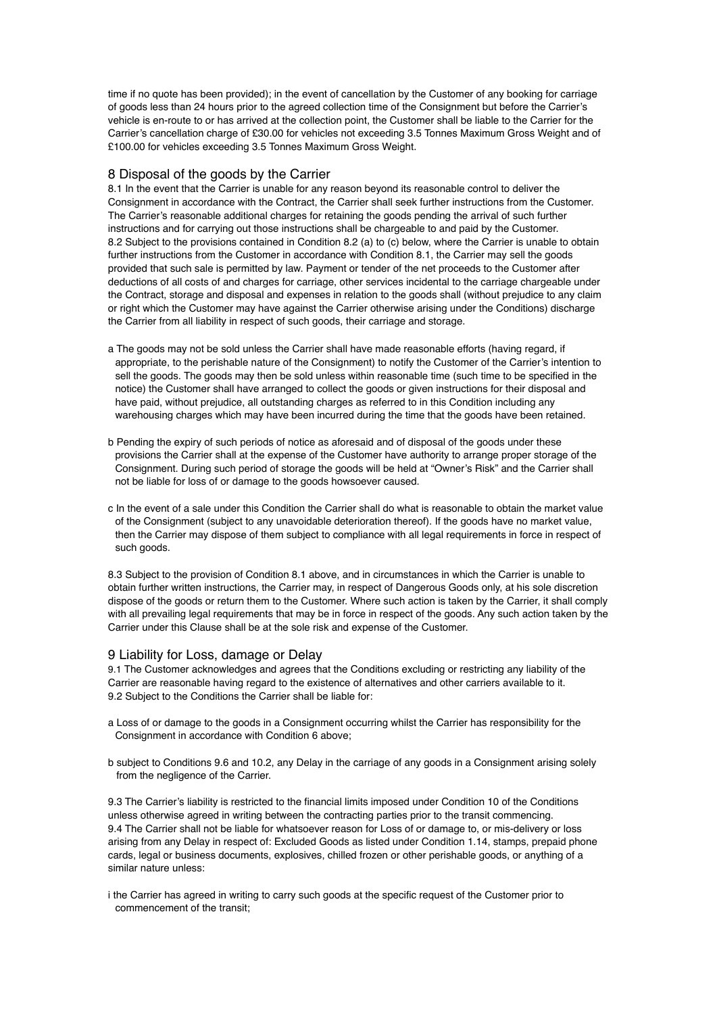time if no quote has been provided); in the event of cancellation by the Customer of any booking for carriage of goods less than 24 hours prior to the agreed collection time of the Consignment but before the Carrier's vehicle is en-route to or has arrived at the collection point, the Customer shall be liable to the Carrier for the Carrier's cancellation charge of £30.00 for vehicles not exceeding 3.5 Tonnes Maximum Gross Weight and of £100.00 for vehicles exceeding 3.5 Tonnes Maximum Gross Weight.

## 8 Disposal of the goods by the Carrier

8.1 In the event that the Carrier is unable for any reason beyond its reasonable control to deliver the Consignment in accordance with the Contract, the Carrier shall seek further instructions from the Customer. The Carrier's reasonable additional charges for retaining the goods pending the arrival of such further instructions and for carrying out those instructions shall be chargeable to and paid by the Customer. 8.2 Subject to the provisions contained in Condition 8.2 (a) to (c) below, where the Carrier is unable to obtain further instructions from the Customer in accordance with Condition 8.1, the Carrier may sell the goods provided that such sale is permitted by law. Payment or tender of the net proceeds to the Customer after deductions of all costs of and charges for carriage, other services incidental to the carriage chargeable under the Contract, storage and disposal and expenses in relation to the goods shall (without prejudice to any claim or right which the Customer may have against the Carrier otherwise arising under the Conditions) discharge the Carrier from all liability in respect of such goods, their carriage and storage.

- a The goods may not be sold unless the Carrier shall have made reasonable efforts (having regard, if appropriate, to the perishable nature of the Consignment) to notify the Customer of the Carrier's intention to sell the goods. The goods may then be sold unless within reasonable time (such time to be specified in the notice) the Customer shall have arranged to collect the goods or given instructions for their disposal and have paid, without prejudice, all outstanding charges as referred to in this Condition including any warehousing charges which may have been incurred during the time that the goods have been retained.
- b Pending the expiry of such periods of notice as aforesaid and of disposal of the goods under these provisions the Carrier shall at the expense of the Customer have authority to arrange proper storage of the Consignment. During such period of storage the goods will be held at "Owner's Risk" and the Carrier shall not be liable for loss of or damage to the goods howsoever caused.
- c In the event of a sale under this Condition the Carrier shall do what is reasonable to obtain the market value of the Consignment (subject to any unavoidable deterioration thereof). If the goods have no market value, then the Carrier may dispose of them subject to compliance with all legal requirements in force in respect of such goods.

8.3 Subject to the provision of Condition 8.1 above, and in circumstances in which the Carrier is unable to obtain further written instructions, the Carrier may, in respect of Dangerous Goods only, at his sole discretion dispose of the goods or return them to the Customer. Where such action is taken by the Carrier, it shall comply with all prevailing legal requirements that may be in force in respect of the goods. Any such action taken by the Carrier under this Clause shall be at the sole risk and expense of the Customer.

#### 9 Liability for Loss, damage or Delay

9.1 The Customer acknowledges and agrees that the Conditions excluding or restricting any liability of the Carrier are reasonable having regard to the existence of alternatives and other carriers available to it. 9.2 Subject to the Conditions the Carrier shall be liable for:

- a Loss of or damage to the goods in a Consignment occurring whilst the Carrier has responsibility for the Consignment in accordance with Condition 6 above;
- b subject to Conditions 9.6 and 10.2, any Delay in the carriage of any goods in a Consignment arising solely from the negligence of the Carrier.

9.3 The Carrier's liability is restricted to the financial limits imposed under Condition 10 of the Conditions unless otherwise agreed in writing between the contracting parties prior to the transit commencing. 9.4 The Carrier shall not be liable for whatsoever reason for Loss of or damage to, or mis-delivery or loss arising from any Delay in respect of: Excluded Goods as listed under Condition 1.14, stamps, prepaid phone cards, legal or business documents, explosives, chilled frozen or other perishable goods, or anything of a similar nature unless:

i the Carrier has agreed in writing to carry such goods at the specific request of the Customer prior to commencement of the transit;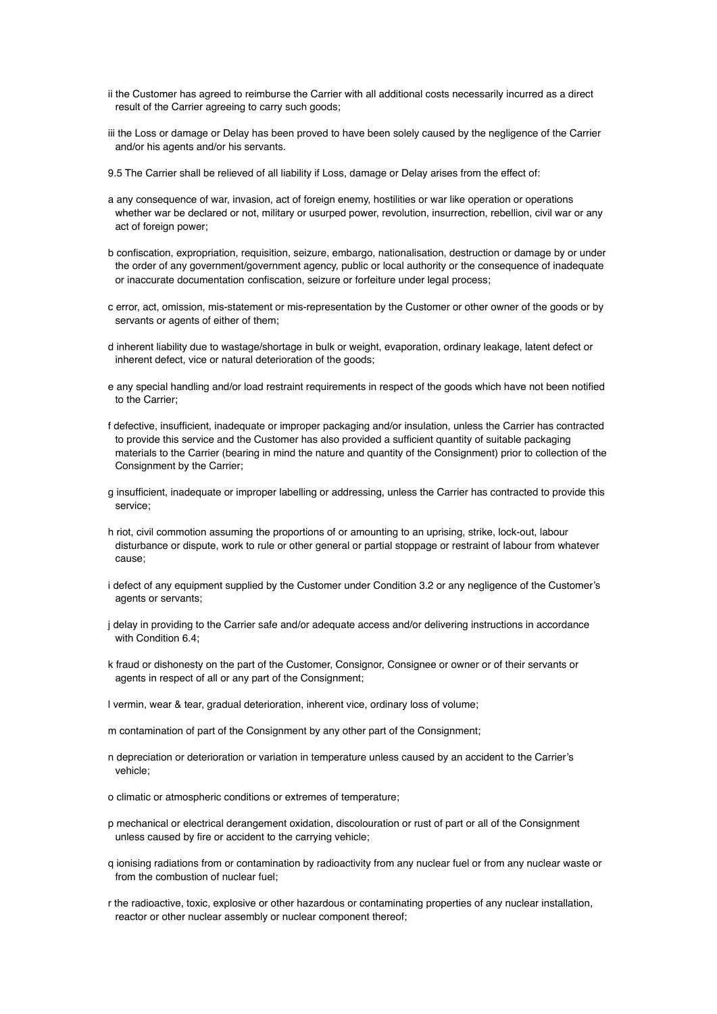- ii the Customer has agreed to reimburse the Carrier with all additional costs necessarily incurred as a direct result of the Carrier agreeing to carry such goods;
- iii the Loss or damage or Delay has been proved to have been solely caused by the negligence of the Carrier and/or his agents and/or his servants.
- 9.5 The Carrier shall be relieved of all liability if Loss, damage or Delay arises from the effect of:
- a any consequence of war, invasion, act of foreign enemy, hostilities or war like operation or operations whether war be declared or not, military or usurped power, revolution, insurrection, rebellion, civil war or any act of foreign power;
- b confiscation, expropriation, requisition, seizure, embargo, nationalisation, destruction or damage by or under the order of any government/government agency, public or local authority or the consequence of inadequate or inaccurate documentation confiscation, seizure or forfeiture under legal process;
- c error, act, omission, mis-statement or mis-representation by the Customer or other owner of the goods or by servants or agents of either of them;
- d inherent liability due to wastage/shortage in bulk or weight, evaporation, ordinary leakage, latent defect or inherent defect, vice or natural deterioration of the goods;
- e any special handling and/or load restraint requirements in respect of the goods which have not been notified to the Carrier;
- f defective, insufficient, inadequate or improper packaging and/or insulation, unless the Carrier has contracted to provide this service and the Customer has also provided a sufficient quantity of suitable packaging materials to the Carrier (bearing in mind the nature and quantity of the Consignment) prior to collection of the Consignment by the Carrier;
- g insufficient, inadequate or improper labelling or addressing, unless the Carrier has contracted to provide this service;
- h riot, civil commotion assuming the proportions of or amounting to an uprising, strike, lock-out, labour disturbance or dispute, work to rule or other general or partial stoppage or restraint of labour from whatever cause;
- i defect of any equipment supplied by the Customer under Condition 3.2 or any negligence of the Customer's agents or servants;
- j delay in providing to the Carrier safe and/or adequate access and/or delivering instructions in accordance with Condition 6.4:
- k fraud or dishonesty on the part of the Customer, Consignor, Consignee or owner or of their servants or agents in respect of all or any part of the Consignment;
- l vermin, wear & tear, gradual deterioration, inherent vice, ordinary loss of volume;
- m contamination of part of the Consignment by any other part of the Consignment;
- n depreciation or deterioration or variation in temperature unless caused by an accident to the Carrier's vehicle;
- o climatic or atmospheric conditions or extremes of temperature;
- p mechanical or electrical derangement oxidation, discolouration or rust of part or all of the Consignment unless caused by fire or accident to the carrying vehicle;
- q ionising radiations from or contamination by radioactivity from any nuclear fuel or from any nuclear waste or from the combustion of nuclear fuel;
- r the radioactive, toxic, explosive or other hazardous or contaminating properties of any nuclear installation, reactor or other nuclear assembly or nuclear component thereof;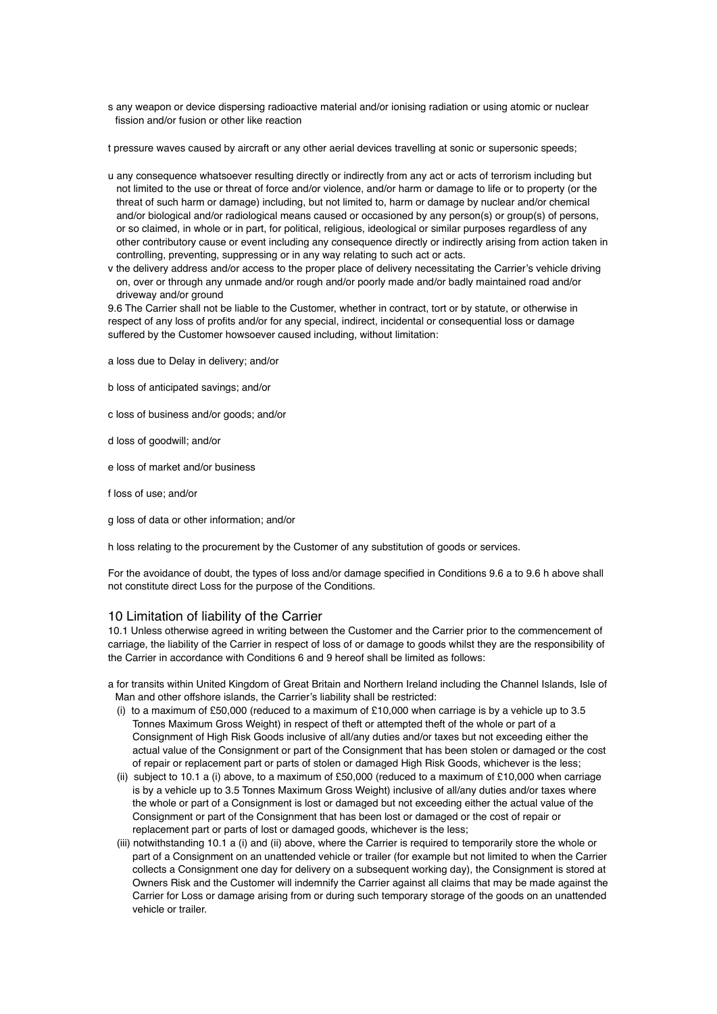s any weapon or device dispersing radioactive material and/or ionising radiation or using atomic or nuclear fission and/or fusion or other like reaction

t pressure waves caused by aircraft or any other aerial devices travelling at sonic or supersonic speeds;

- u any consequence whatsoever resulting directly or indirectly from any act or acts of terrorism including but not limited to the use or threat of force and/or violence, and/or harm or damage to life or to property (or the threat of such harm or damage) including, but not limited to, harm or damage by nuclear and/or chemical and/or biological and/or radiological means caused or occasioned by any person(s) or group(s) of persons, or so claimed, in whole or in part, for political, religious, ideological or similar purposes regardless of any other contributory cause or event including any consequence directly or indirectly arising from action taken in controlling, preventing, suppressing or in any way relating to such act or acts.
- v the delivery address and/or access to the proper place of delivery necessitating the Carrier's vehicle driving on, over or through any unmade and/or rough and/or poorly made and/or badly maintained road and/or driveway and/or ground

9.6 The Carrier shall not be liable to the Customer, whether in contract, tort or by statute, or otherwise in respect of any loss of profits and/or for any special, indirect, incidental or consequential loss or damage suffered by the Customer howsoever caused including, without limitation:

- a loss due to Delay in delivery; and/or
- b loss of anticipated savings; and/or

c loss of business and/or goods; and/or

- d loss of goodwill; and/or
- e loss of market and/or business
- f loss of use; and/or
- g loss of data or other information; and/or

h loss relating to the procurement by the Customer of any substitution of goods or services.

For the avoidance of doubt, the types of loss and/or damage specified in Conditions 9.6 a to 9.6 h above shall not constitute direct Loss for the purpose of the Conditions.

## 10 Limitation of liability of the Carrier

10.1 Unless otherwise agreed in writing between the Customer and the Carrier prior to the commencement of carriage, the liability of the Carrier in respect of loss of or damage to goods whilst they are the responsibility of the Carrier in accordance with Conditions 6 and 9 hereof shall be limited as follows:

- a for transits within United Kingdom of Great Britain and Northern Ireland including the Channel Islands, Isle of Man and other offshore islands, the Carrier's liability shall be restricted:
	- (i) to a maximum of £50,000 (reduced to a maximum of £10,000 when carriage is by a vehicle up to 3.5 Tonnes Maximum Gross Weight) in respect of theft or attempted theft of the whole or part of a Consignment of High Risk Goods inclusive of all/any duties and/or taxes but not exceeding either the actual value of the Consignment or part of the Consignment that has been stolen or damaged or the cost of repair or replacement part or parts of stolen or damaged High Risk Goods, whichever is the less;
	- (ii) subject to 10.1 a (i) above, to a maximum of £50,000 (reduced to a maximum of £10,000 when carriage is by a vehicle up to 3.5 Tonnes Maximum Gross Weight) inclusive of all/any duties and/or taxes where the whole or part of a Consignment is lost or damaged but not exceeding either the actual value of the Consignment or part of the Consignment that has been lost or damaged or the cost of repair or replacement part or parts of lost or damaged goods, whichever is the less;
	- (iii) notwithstanding 10.1 a (i) and (ii) above, where the Carrier is required to temporarily store the whole or part of a Consignment on an unattended vehicle or trailer (for example but not limited to when the Carrier collects a Consignment one day for delivery on a subsequent working day), the Consignment is stored at Owners Risk and the Customer will indemnify the Carrier against all claims that may be made against the Carrier for Loss or damage arising from or during such temporary storage of the goods on an unattended vehicle or trailer.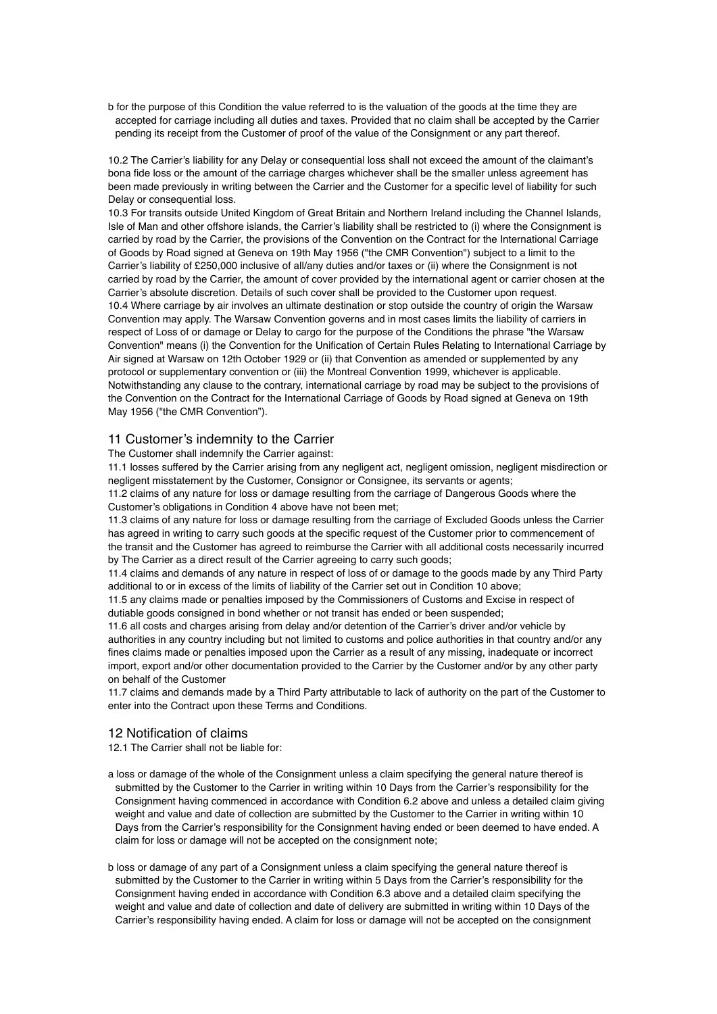b for the purpose of this Condition the value referred to is the valuation of the goods at the time they are accepted for carriage including all duties and taxes. Provided that no claim shall be accepted by the Carrier pending its receipt from the Customer of proof of the value of the Consignment or any part thereof.

10.2 The Carrier's liability for any Delay or consequential loss shall not exceed the amount of the claimant's bona fide loss or the amount of the carriage charges whichever shall be the smaller unless agreement has been made previously in writing between the Carrier and the Customer for a specific level of liability for such Delay or consequential loss.

10.3 For transits outside United Kingdom of Great Britain and Northern Ireland including the Channel Islands, Isle of Man and other offshore islands, the Carrier's liability shall be restricted to (i) where the Consignment is carried by road by the Carrier, the provisions of the Convention on the Contract for the International Carriage of Goods by Road signed at Geneva on 19th May 1956 ("the CMR Convention") subject to a limit to the Carrier's liability of £250,000 inclusive of all/any duties and/or taxes or (ii) where the Consignment is not carried by road by the Carrier, the amount of cover provided by the international agent or carrier chosen at the Carrier's absolute discretion. Details of such cover shall be provided to the Customer upon request. 10.4 Where carriage by air involves an ultimate destination or stop outside the country of origin the Warsaw Convention may apply. The Warsaw Convention governs and in most cases limits the liability of carriers in respect of Loss of or damage or Delay to cargo for the purpose of the Conditions the phrase "the Warsaw Convention" means (i) the Convention for the Unification of Certain Rules Relating to International Carriage by Air signed at Warsaw on 12th October 1929 or (ii) that Convention as amended or supplemented by any protocol or supplementary convention or (iii) the Montreal Convention 1999, whichever is applicable. Notwithstanding any clause to the contrary, international carriage by road may be subject to the provisions of the Convention on the Contract for the International Carriage of Goods by Road signed at Geneva on 19th May 1956 ("the CMR Convention").

## 11 Customer's indemnity to the Carrier

The Customer shall indemnify the Carrier against:

11.1 losses suffered by the Carrier arising from any negligent act, negligent omission, negligent misdirection or negligent misstatement by the Customer, Consignor or Consignee, its servants or agents;

11.2 claims of any nature for loss or damage resulting from the carriage of Dangerous Goods where the Customer's obligations in Condition 4 above have not been met;

11.3 claims of any nature for loss or damage resulting from the carriage of Excluded Goods unless the Carrier has agreed in writing to carry such goods at the specific request of the Customer prior to commencement of the transit and the Customer has agreed to reimburse the Carrier with all additional costs necessarily incurred by The Carrier as a direct result of the Carrier agreeing to carry such goods;

11.4 claims and demands of any nature in respect of loss of or damage to the goods made by any Third Party additional to or in excess of the limits of liability of the Carrier set out in Condition 10 above;

11.5 any claims made or penalties imposed by the Commissioners of Customs and Excise in respect of dutiable goods consigned in bond whether or not transit has ended or been suspended;

11.6 all costs and charges arising from delay and/or detention of the Carrier's driver and/or vehicle by authorities in any country including but not limited to customs and police authorities in that country and/or any fines claims made or penalties imposed upon the Carrier as a result of any missing, inadequate or incorrect import, export and/or other documentation provided to the Carrier by the Customer and/or by any other party on behalf of the Customer

11.7 claims and demands made by a Third Party attributable to lack of authority on the part of the Customer to enter into the Contract upon these Terms and Conditions.

## 12 Notification of claims

12.1 The Carrier shall not be liable for:

- a loss or damage of the whole of the Consignment unless a claim specifying the general nature thereof is submitted by the Customer to the Carrier in writing within 10 Days from the Carrier's responsibility for the Consignment having commenced in accordance with Condition 6.2 above and unless a detailed claim giving weight and value and date of collection are submitted by the Customer to the Carrier in writing within 10 Days from the Carrier's responsibility for the Consignment having ended or been deemed to have ended. A claim for loss or damage will not be accepted on the consignment note;
- b loss or damage of any part of a Consignment unless a claim specifying the general nature thereof is submitted by the Customer to the Carrier in writing within 5 Days from the Carrier's responsibility for the Consignment having ended in accordance with Condition 6.3 above and a detailed claim specifying the weight and value and date of collection and date of delivery are submitted in writing within 10 Days of the Carrier's responsibility having ended. A claim for loss or damage will not be accepted on the consignment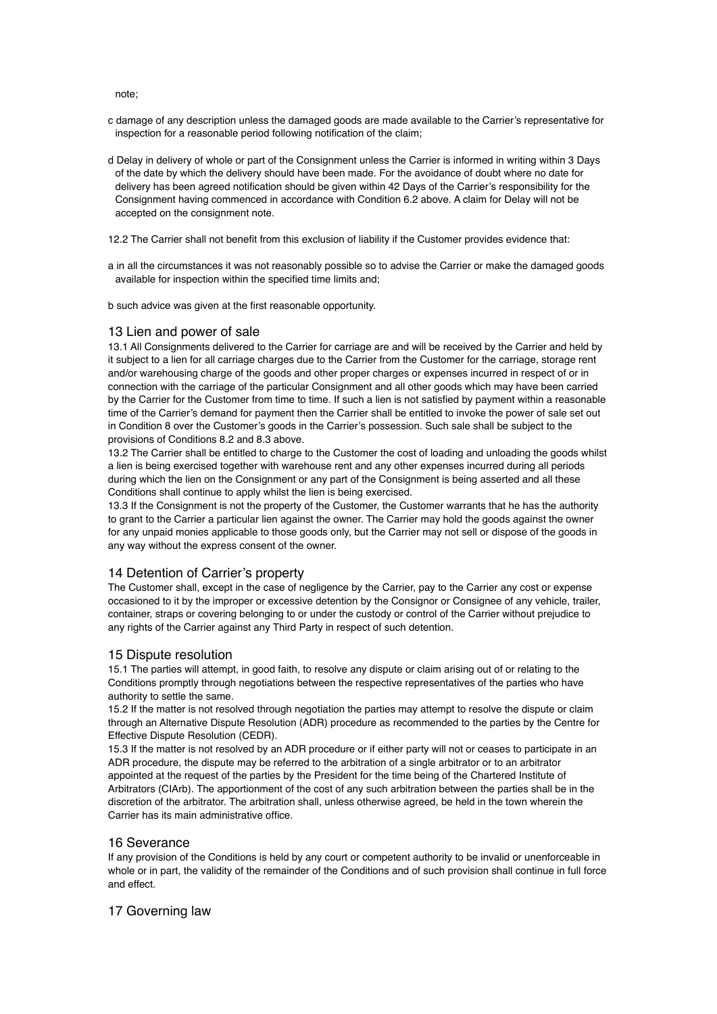note;

- c damage of any description unless the damaged goods are made available to the Carrier's representative for inspection for a reasonable period following notification of the claim;
- d Delay in delivery of whole or part of the Consignment unless the Carrier is informed in writing within 3 Days of the date by which the delivery should have been made. For the avoidance of doubt where no date for delivery has been agreed notification should be given within 42 Days of the Carrier's responsibility for the Consignment having commenced in accordance with Condition 6.2 above. A claim for Delay will not be accepted on the consignment note.
- 12.2 The Carrier shall not benefit from this exclusion of liability if the Customer provides evidence that:
- a in all the circumstances it was not reasonably possible so to advise the Carrier or make the damaged goods available for inspection within the specified time limits and;

b such advice was given at the first reasonable opportunity.

# 13 Lien and power of sale

13.1 All Consignments delivered to the Carrier for carriage are and will be received by the Carrier and held by it subject to a lien for all carriage charges due to the Carrier from the Customer for the carriage, storage rent and/or warehousing charge of the goods and other proper charges or expenses incurred in respect of or in connection with the carriage of the particular Consignment and all other goods which may have been carried by the Carrier for the Customer from time to time. If such a lien is not satisfied by payment within a reasonable time of the Carrier's demand for payment then the Carrier shall be entitled to invoke the power of sale set out in Condition 8 over the Customer's goods in the Carrier's possession. Such sale shall be subject to the provisions of Conditions 8.2 and 8.3 above.

13.2 The Carrier shall be entitled to charge to the Customer the cost of loading and unloading the goods whilst a lien is being exercised together with warehouse rent and any other expenses incurred during all periods during which the lien on the Consignment or any part of the Consignment is being asserted and all these Conditions shall continue to apply whilst the lien is being exercised.

13.3 If the Consignment is not the property of the Customer, the Customer warrants that he has the authority to grant to the Carrier a particular lien against the owner. The Carrier may hold the goods against the owner for any unpaid monies applicable to those goods only, but the Carrier may not sell or dispose of the goods in any way without the express consent of the owner.

## 14 Detention of Carrier's property

The Customer shall, except in the case of negligence by the Carrier, pay to the Carrier any cost or expense occasioned to it by the improper or excessive detention by the Consignor or Consignee of any vehicle, trailer, container, straps or covering belonging to or under the custody or control of the Carrier without prejudice to any rights of the Carrier against any Third Party in respect of such detention.

#### 15 Dispute resolution

15.1 The parties will attempt, in good faith, to resolve any dispute or claim arising out of or relating to the Conditions promptly through negotiations between the respective representatives of the parties who have authority to settle the same.

15.2 If the matter is not resolved through negotiation the parties may attempt to resolve the dispute or claim through an Alternative Dispute Resolution (ADR) procedure as recommended to the parties by the Centre for Effective Dispute Resolution (CEDR).

15.3 If the matter is not resolved by an ADR procedure or if either party will not or ceases to participate in an ADR procedure, the dispute may be referred to the arbitration of a single arbitrator or to an arbitrator appointed at the request of the parties by the President for the time being of the Chartered Institute of Arbitrators (CIArb). The apportionment of the cost of any such arbitration between the parties shall be in the discretion of the arbitrator. The arbitration shall, unless otherwise agreed, be held in the town wherein the Carrier has its main administrative office.

#### 16 Severance

If any provision of the Conditions is held by any court or competent authority to be invalid or unenforceable in whole or in part, the validity of the remainder of the Conditions and of such provision shall continue in full force and effect.

## 17 Governing law